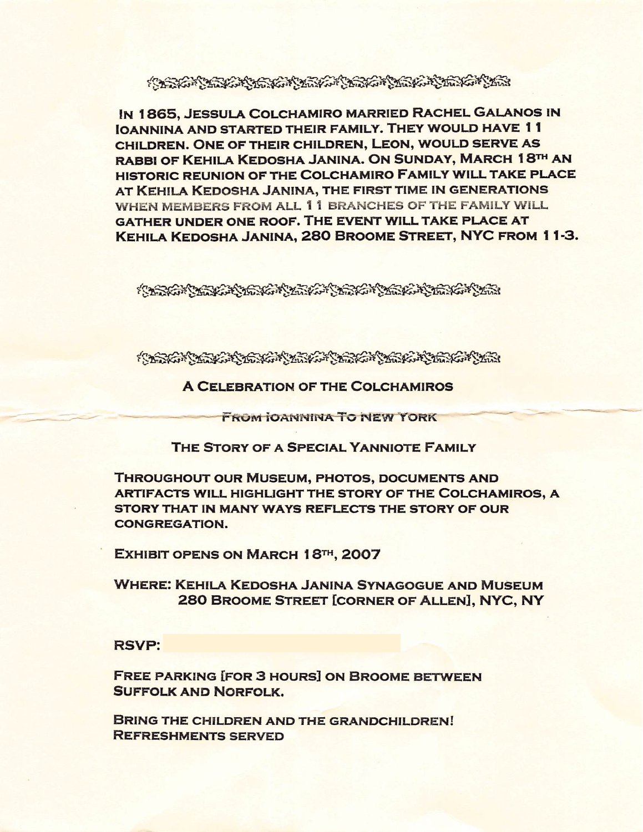KASSO KARA KARA SERANG KARA KARA KATIKA KAPATAN

IN 1865, JESSULA COLCHAMIRO MARRIED RACHEL GALANOS IN **IOANNINA AND STARTED THEIR FAMILY. THEY WOULD HAVE 11** CHILDREN, ONE OF THEIR CHILDREN, LEON, WOULD SERVE AS RABBI OF KEHILA KEDOSHA JANINA. ON SUNDAY, MARCH 18TH AN HISTORIC REUNION OF THE COLCHAMIRO FAMILY WILL TAKE PLACE AT KEHILA KEDOSHA JANINA. THE FIRST TIME IN GENERATIONS WHEN MEMBERS FROM ALL 11 BRANCHES OF THE FAMILY WILL GATHER UNDER ONE ROOF. THE EVENT WILL TAKE PLACE AT KEHILA KEDOSHA JANINA, 280 BROOME STREET, NYC FROM 11-3.

KASKO KARACHARA MENGERAKAN CARA MARACHARA KARA

KASKA KASKA KATIFATI KATIFATI KATIFATI KATIFATI KATIFATI

**A CELEBRATION OF THE COLCHAMIROS** 

FROM JOANNINA TO NEW YORK

THE STORY OF A SPECIAL YANNIOTE FAMILY

**THROUGHOUT OUR MUSEUM, PHOTOS, DOCUMENTS AND** ARTIFACTS WILL HIGHLIGHT THE STORY OF THE COLCHAMIROS, A STORY THAT IN MANY WAYS REFLECTS THE STORY OF OUR **CONGREGATION.** 

EXHIBIT OPENS ON MARCH 18TH, 2007

WHERE: KEHILA KEDOSHA JANINA SYNAGOGUE AND MUSEUM 280 BROOME STREET [CORNER OF ALLEN], NYC, NY

**RSVP:** 

**FREE PARKING [FOR 3 HOURS] ON BROOME BETWEEN SUFFOLK AND NORFOLK.** 

**BRING THE CHILDREN AND THE GRANDCHILDREN! REFRESHMENTS SERVED**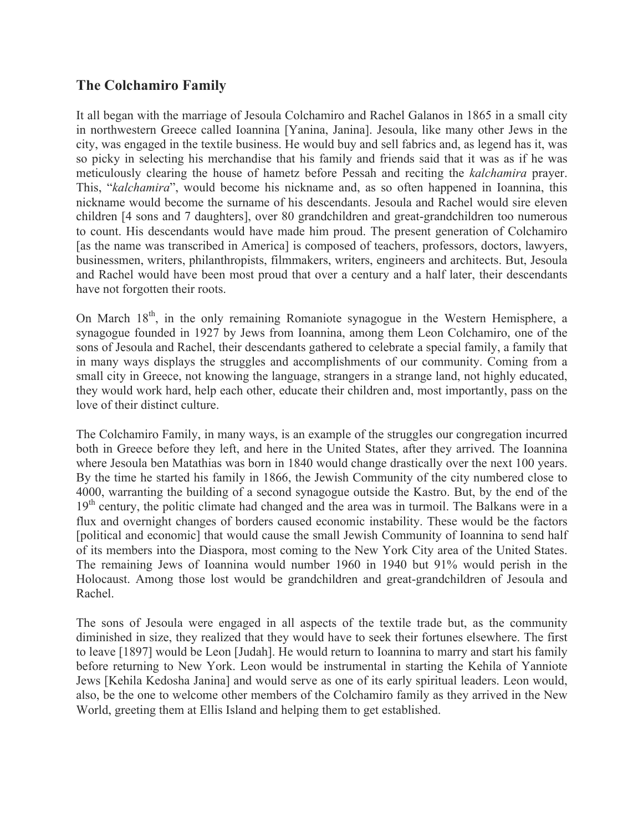## **The Colchamiro Family**

It all began with the marriage of Jesoula Colchamiro and Rachel Galanos in 1865 in a small city in northwestern Greece called Ioannina [Yanina, Janina]. Jesoula, like many other Jews in the city, was engaged in the textile business. He would buy and sell fabrics and, as legend has it, was so picky in selecting his merchandise that his family and friends said that it was as if he was meticulously clearing the house of hametz before Pessah and reciting the *kalchamira* prayer. This, "*kalchamira*", would become his nickname and, as so often happened in Ioannina, this nickname would become the surname of his descendants. Jesoula and Rachel would sire eleven children [4 sons and 7 daughters], over 80 grandchildren and great-grandchildren too numerous to count. His descendants would have made him proud. The present generation of Colchamiro [as the name was transcribed in America] is composed of teachers, professors, doctors, lawyers, businessmen, writers, philanthropists, filmmakers, writers, engineers and architects. But, Jesoula and Rachel would have been most proud that over a century and a half later, their descendants have not forgotten their roots.

On March 18th, in the only remaining Romaniote synagogue in the Western Hemisphere, a synagogue founded in 1927 by Jews from Ioannina, among them Leon Colchamiro, one of the sons of Jesoula and Rachel, their descendants gathered to celebrate a special family, a family that in many ways displays the struggles and accomplishments of our community. Coming from a small city in Greece, not knowing the language, strangers in a strange land, not highly educated, they would work hard, help each other, educate their children and, most importantly, pass on the love of their distinct culture.

The Colchamiro Family, in many ways, is an example of the struggles our congregation incurred both in Greece before they left, and here in the United States, after they arrived. The Ioannina where Jesoula ben Matathias was born in 1840 would change drastically over the next 100 years. By the time he started his family in 1866, the Jewish Community of the city numbered close to 4000, warranting the building of a second synagogue outside the Kastro. But, by the end of the  $19<sup>th</sup>$  century, the politic climate had changed and the area was in turmoil. The Balkans were in a flux and overnight changes of borders caused economic instability. These would be the factors [political and economic] that would cause the small Jewish Community of Ioannina to send half of its members into the Diaspora, most coming to the New York City area of the United States. The remaining Jews of Ioannina would number 1960 in 1940 but 91% would perish in the Holocaust. Among those lost would be grandchildren and great-grandchildren of Jesoula and Rachel.

The sons of Jesoula were engaged in all aspects of the textile trade but, as the community diminished in size, they realized that they would have to seek their fortunes elsewhere. The first to leave [1897] would be Leon [Judah]. He would return to Ioannina to marry and start his family before returning to New York. Leon would be instrumental in starting the Kehila of Yanniote Jews [Kehila Kedosha Janina] and would serve as one of its early spiritual leaders. Leon would, also, be the one to welcome other members of the Colchamiro family as they arrived in the New World, greeting them at Ellis Island and helping them to get established.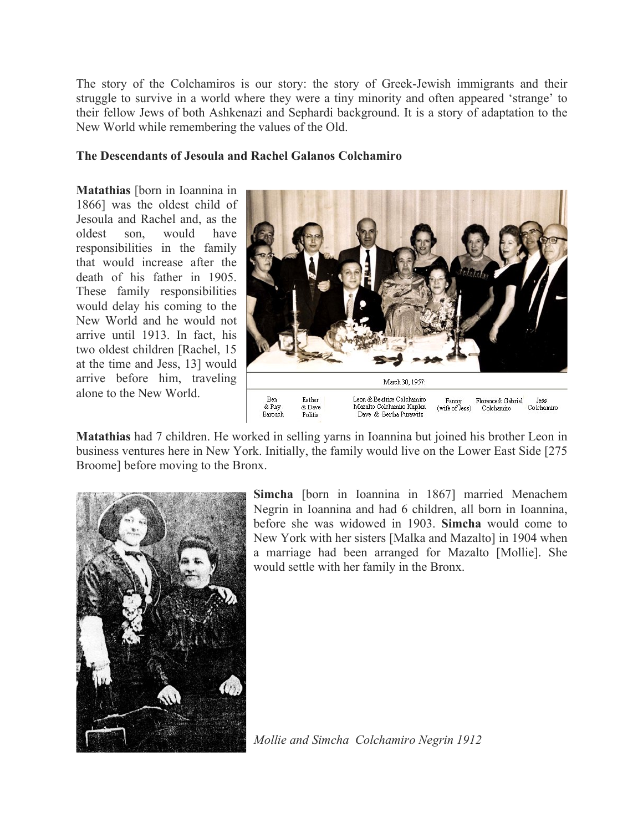The story of the Colchamiros is our story: the story of Greek-Jewish immigrants and their struggle to survive in a world where they were a tiny minority and often appeared 'strange' to their fellow Jews of both Ashkenazi and Sephardi background. It is a story of adaptation to the New World while remembering the values of the Old.

## **The Descendants of Jesoula and Rachel Galanos Colchamiro**

**Matathias** [born in Ioannina in 1866] was the oldest child of Jesoula and Rachel and, as the oldest son, would have responsibilities in the family that would increase after the death of his father in 1905. These family responsibilities would delay his coming to the New World and he would not arrive until 1913. In fact, his two oldest children [Rachel, 15 at the time and Jess, 13] would arrive before him, traveling alone to the New World.



**Matathias** had 7 children. He worked in selling yarns in Ioannina but joined his brother Leon in business ventures here in New York. Initially, the family would live on the Lower East Side [275 Broome] before moving to the Bronx.



**Simcha** [born in Ioannina in 1867] married Menachem Negrin in Ioannina and had 6 children, all born in Ioannina, before she was widowed in 1903. **Simcha** would come to New York with her sisters [Malka and Mazalto] in 1904 when a marriage had been arranged for Mazalto [Mollie]. She would settle with her family in the Bronx.

*Mollie and Simcha Colchamiro Negrin 1912*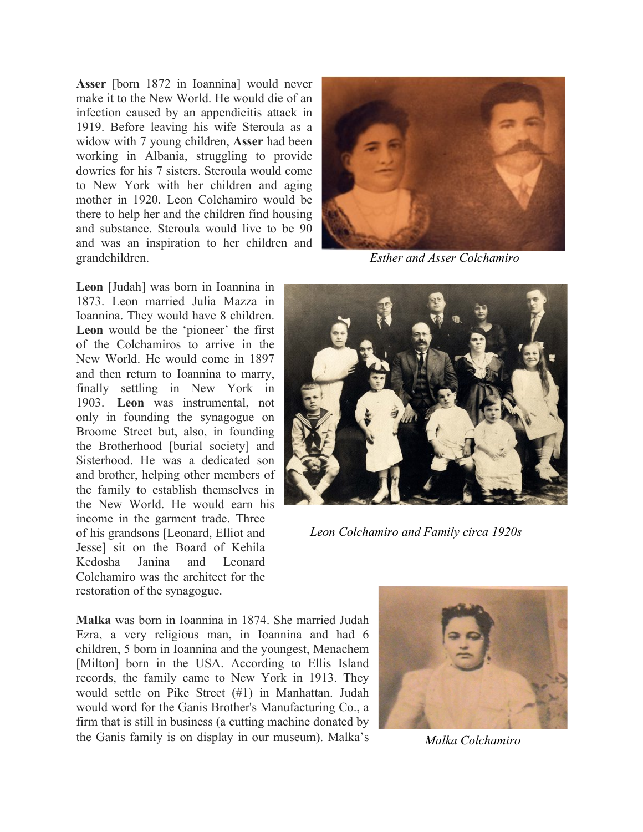**Asser** [born 1872 in Ioannina] would never make it to the New World. He would die of an infection caused by an appendicitis attack in 1919. Before leaving his wife Steroula as a widow with 7 young children, **Asser** had been working in Albania, struggling to provide dowries for his 7 sisters. Steroula would come to New York with her children and aging mother in 1920. Leon Colchamiro would be there to help her and the children find housing and substance. Steroula would live to be 90 and was an inspiration to her children and grandchildren.

**Leon** [Judah] was born in Ioannina in 1873. Leon married Julia Mazza in Ioannina. They would have 8 children. **Leon** would be the 'pioneer' the first of the Colchamiros to arrive in the New World. He would come in 1897 and then return to Ioannina to marry, finally settling in New York in 1903. **Leon** was instrumental, not only in founding the synagogue on Broome Street but, also, in founding the Brotherhood [burial society] and Sisterhood. He was a dedicated son and brother, helping other members of the family to establish themselves in the New World. He would earn his income in the garment trade. Three of his grandsons [Leonard, Elliot and Jesse] sit on the Board of Kehila Kedosha Janina and Leonard Colchamiro was the architect for the restoration of the synagogue.

*Esther and Asser Colchamiro*



*Leon Colchamiro and Family circa 1920s*

**Malka** was born in Ioannina in 1874. She married Judah Ezra, a very religious man, in Ioannina and had 6 children, 5 born in Ioannina and the youngest, Menachem [Milton] born in the USA. According to Ellis Island records, the family came to New York in 1913. They would settle on Pike Street (#1) in Manhattan. Judah would word for the Ganis Brother's Manufacturing Co., a firm that is still in business (a cutting machine donated by the Ganis family is on display in our museum). Malka's



*Malka Colchamiro*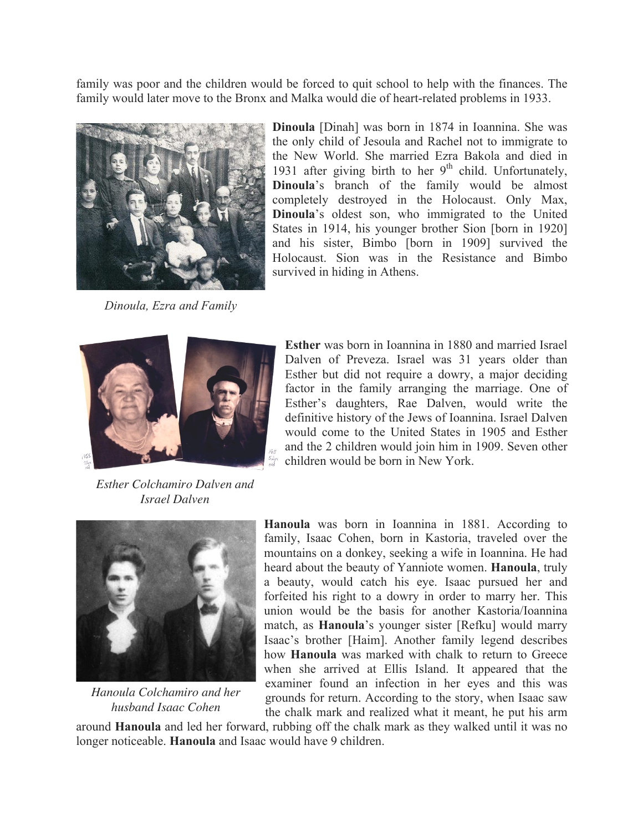family was poor and the children would be forced to quit school to help with the finances. The family would later move to the Bronx and Malka would die of heart-related problems in 1933.



*Dinoula, Ezra and Family*

**Dinoula** [Dinah] was born in 1874 in Ioannina. She was the only child of Jesoula and Rachel not to immigrate to the New World. She married Ezra Bakola and died in 1931 after giving birth to her  $9<sup>th</sup>$  child. Unfortunately, **Dinoula**'s branch of the family would be almost completely destroyed in the Holocaust. Only Max, **Dinoula**'s oldest son, who immigrated to the United States in 1914, his younger brother Sion [born in 1920] and his sister, Bimbo [born in 1909] survived the Holocaust. Sion was in the Resistance and Bimbo survived in hiding in Athens.



*Esther Colchamiro Dalven and Israel Dalven*

**Esther** was born in Ioannina in 1880 and married Israel Dalven of Preveza. Israel was 31 years older than Esther but did not require a dowry, a major deciding factor in the family arranging the marriage. One of Esther's daughters, Rae Dalven, would write the definitive history of the Jews of Ioannina. Israel Dalven would come to the United States in 1905 and Esther and the 2 children would join him in 1909. Seven other children would be born in New York.



*Hanoula Colchamiro and her husband Isaac Cohen*

**Hanoula** was born in Ioannina in 1881. According to family, Isaac Cohen, born in Kastoria, traveled over the mountains on a donkey, seeking a wife in Ioannina. He had heard about the beauty of Yanniote women. **Hanoula**, truly a beauty, would catch his eye. Isaac pursued her and forfeited his right to a dowry in order to marry her. This union would be the basis for another Kastoria/Ioannina match, as **Hanoula**'s younger sister [Refku] would marry Isaac's brother [Haim]. Another family legend describes how **Hanoula** was marked with chalk to return to Greece when she arrived at Ellis Island. It appeared that the examiner found an infection in her eyes and this was grounds for return. According to the story, when Isaac saw the chalk mark and realized what it meant, he put his arm

around **Hanoula** and led her forward, rubbing off the chalk mark as they walked until it was no longer noticeable. **Hanoula** and Isaac would have 9 children.